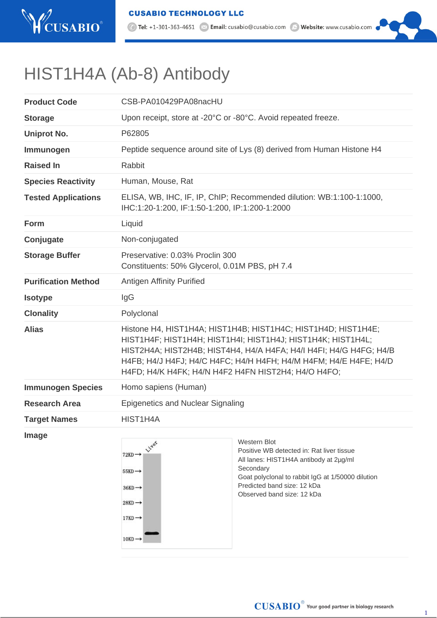

10 Tel: +1-301-363-4651 2 Email: cusabio@cusabio.com 2 Website: www.cusabio.com

## HIST1H4A (Ab-8) Antibody

| <b>Product Code</b>        | CSB-PA010429PA08nacHU                                                                                                                                                                                                                                                                                                          |                                                                                                                                                                                                                                    |
|----------------------------|--------------------------------------------------------------------------------------------------------------------------------------------------------------------------------------------------------------------------------------------------------------------------------------------------------------------------------|------------------------------------------------------------------------------------------------------------------------------------------------------------------------------------------------------------------------------------|
| <b>Storage</b>             | Upon receipt, store at -20°C or -80°C. Avoid repeated freeze.                                                                                                                                                                                                                                                                  |                                                                                                                                                                                                                                    |
| <b>Uniprot No.</b>         | P62805                                                                                                                                                                                                                                                                                                                         |                                                                                                                                                                                                                                    |
| Immunogen                  | Peptide sequence around site of Lys (8) derived from Human Histone H4                                                                                                                                                                                                                                                          |                                                                                                                                                                                                                                    |
| <b>Raised In</b>           | Rabbit                                                                                                                                                                                                                                                                                                                         |                                                                                                                                                                                                                                    |
| <b>Species Reactivity</b>  | Human, Mouse, Rat                                                                                                                                                                                                                                                                                                              |                                                                                                                                                                                                                                    |
| <b>Tested Applications</b> | ELISA, WB, IHC, IF, IP, ChIP; Recommended dilution: WB:1:100-1:1000,<br>IHC:1:20-1:200, IF:1:50-1:200, IP:1:200-1:2000                                                                                                                                                                                                         |                                                                                                                                                                                                                                    |
| Form                       | Liquid                                                                                                                                                                                                                                                                                                                         |                                                                                                                                                                                                                                    |
| Conjugate                  | Non-conjugated                                                                                                                                                                                                                                                                                                                 |                                                                                                                                                                                                                                    |
| <b>Storage Buffer</b>      | Preservative: 0.03% Proclin 300<br>Constituents: 50% Glycerol, 0.01M PBS, pH 7.4                                                                                                                                                                                                                                               |                                                                                                                                                                                                                                    |
| <b>Purification Method</b> | <b>Antigen Affinity Purified</b>                                                                                                                                                                                                                                                                                               |                                                                                                                                                                                                                                    |
| <b>Isotype</b>             | IgG                                                                                                                                                                                                                                                                                                                            |                                                                                                                                                                                                                                    |
| <b>Clonality</b>           | Polyclonal                                                                                                                                                                                                                                                                                                                     |                                                                                                                                                                                                                                    |
| <b>Alias</b>               | Histone H4, HIST1H4A; HIST1H4B; HIST1H4C; HIST1H4D; HIST1H4E;<br>HIST1H4F; HIST1H4H; HIST1H4I; HIST1H4J; HIST1H4K; HIST1H4L;<br>HIST2H4A; HIST2H4B; HIST4H4, H4/A H4FA; H4/I H4FI; H4/G H4FG; H4/B<br>H4FB; H4/J H4FJ; H4/C H4FC; H4/H H4FH; H4/M H4FM; H4/E H4FE; H4/D<br>H4FD; H4/K H4FK; H4/N H4F2 H4FN HIST2H4; H4/O H4FO; |                                                                                                                                                                                                                                    |
| <b>Immunogen Species</b>   | Homo sapiens (Human)                                                                                                                                                                                                                                                                                                           |                                                                                                                                                                                                                                    |
| <b>Research Area</b>       | <b>Epigenetics and Nuclear Signaling</b>                                                                                                                                                                                                                                                                                       |                                                                                                                                                                                                                                    |
| <b>Target Names</b>        | HIST1H4A                                                                                                                                                                                                                                                                                                                       |                                                                                                                                                                                                                                    |
| Image                      | Liver<br>$72KD \rightarrow$<br>$55KD \rightarrow$<br>$36KD \rightarrow$<br>$28KD \rightarrow$<br>$17KD \rightarrow$<br>$10KD \rightarrow$                                                                                                                                                                                      | Western Blot<br>Positive WB detected in: Rat liver tissue<br>All lanes: HIST1H4A antibody at 2µg/ml<br>Secondary<br>Goat polyclonal to rabbit IgG at 1/50000 dilution<br>Predicted band size: 12 kDa<br>Observed band size: 12 kDa |

1